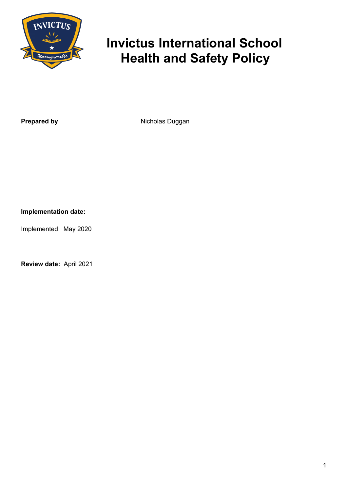

# **Invictus International School Health and Safety Policy**

**Prepared by** Nicholas Duggan

**Implementation date:**

Implemented: May 2020

**Review date:** April 2021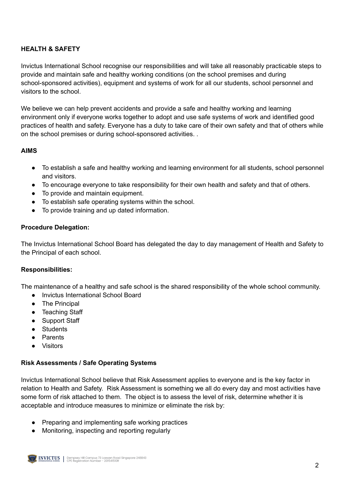## **HEALTH & SAFETY**

Invictus International School recognise our responsibilities and will take all reasonably practicable steps to provide and maintain safe and healthy working conditions (on the school premises and during school-sponsored activities), equipment and systems of work for all our students, school personnel and visitors to the school.

We believe we can help prevent accidents and provide a safe and healthy working and learning environment only if everyone works together to adopt and use safe systems of work and identified good practices of health and safety. Everyone has a duty to take care of their own safety and that of others while on the school premises or during school-sponsored activities. .

### **AIMS**

- To establish a safe and healthy working and learning environment for all students, school personnel and visitors.
- To encourage everyone to take responsibility for their own health and safety and that of others.
- To provide and maintain equipment.
- To establish safe operating systems within the school.
- To provide training and up dated information.

#### **Procedure Delegation:**

The Invictus International School Board has delegated the day to day management of Health and Safety to the Principal of each school.

#### **Responsibilities:**

The maintenance of a healthy and safe school is the shared responsibility of the whole school community.

- Invictus International School Board
- The Principal
- Teaching Staff
- Support Staff
- Students
- **Parents**
- **Visitors**

#### **Risk Assessments / Safe Operating Systems**

Invictus International School believe that Risk Assessment applies to everyone and is the key factor in relation to Health and Safety. Risk Assessment is something we all do every day and most activities have some form of risk attached to them. The object is to assess the level of risk, determine whether it is acceptable and introduce measures to minimize or eliminate the risk by:

- Preparing and implementing safe working practices
- Monitoring, inspecting and reporting regularly

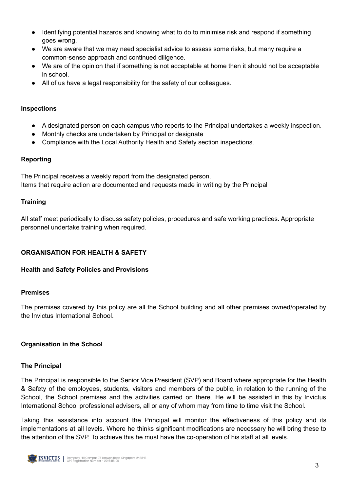- Identifying potential hazards and knowing what to do to minimise risk and respond if something goes wrong.
- We are aware that we may need specialist advice to assess some risks, but many require a common-sense approach and continued diligence.
- We are of the opinion that if something is not acceptable at home then it should not be acceptable in school.
- All of us have a legal responsibility for the safety of our colleagues.

#### **Inspections**

- A designated person on each campus who reports to the Principal undertakes a weekly inspection.
- Monthly checks are undertaken by Principal or designate
- Compliance with the Local Authority Health and Safety section inspections.

### **Reporting**

The Principal receives a weekly report from the designated person. Items that require action are documented and requests made in writing by the Principal

### **Training**

All staff meet periodically to discuss safety policies, procedures and safe working practices. Appropriate personnel undertake training when required.

## **ORGANISATION FOR HEALTH & SAFETY**

### **Health and Safety Policies and Provisions**

### **Premises**

The premises covered by this policy are all the School building and all other premises owned/operated by the Invictus International School.

### **Organisation in the School**

### **The Principal**

The Principal is responsible to the Senior Vice President (SVP) and Board where appropriate for the Health & Safety of the employees, students, visitors and members of the public, in relation to the running of the School, the School premises and the activities carried on there. He will be assisted in this by Invictus International School professional advisers, all or any of whom may from time to time visit the School.

Taking this assistance into account the Principal will monitor the effectiveness of this policy and its implementations at all levels. Where he thinks significant modifications are necessary he will bring these to the attention of the SVP. To achieve this he must have the co-operation of his staff at all levels.

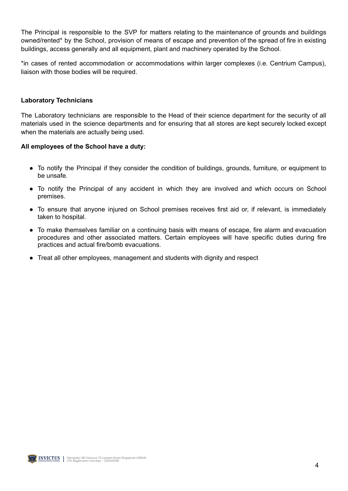The Principal is responsible to the SVP for matters relating to the maintenance of grounds and buildings owned/rented\* by the School, provision of means of escape and prevention of the spread of fire in existing buildings, access generally and all equipment, plant and machinery operated by the School.

\*in cases of rented accommodation or accommodations within larger complexes (i.e. Centrium Campus), liaison with those bodies will be required.

#### **Laboratory Technicians**

The Laboratory technicians are responsible to the Head of their science department for the security of all materials used in the science departments and for ensuring that all stores are kept securely locked except when the materials are actually being used.

#### **All employees of the School have a duty:**

- To notify the Principal if they consider the condition of buildings, grounds, furniture, or equipment to be unsafe.
- To notify the Principal of any accident in which they are involved and which occurs on School premises.
- To ensure that anyone injured on School premises receives first aid or, if relevant, is immediately taken to hospital.
- To make themselves familiar on a continuing basis with means of escape, fire alarm and evacuation procedures and other associated matters. Certain employees will have specific duties during fire practices and actual fire/bomb evacuations.
- Treat all other employees, management and students with dignity and respect

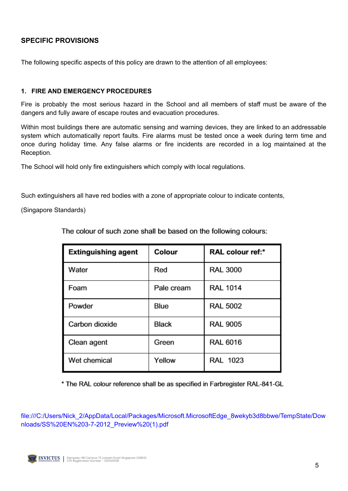## **SPECIFIC PROVISIONS**

The following specific aspects of this policy are drawn to the attention of all employees:

#### **1. FIRE AND EMERGENCY PROCEDURES**

Fire is probably the most serious hazard in the School and all members of staff must be aware of the dangers and fully aware of escape routes and evacuation procedures.

Within most buildings there are automatic sensing and warning devices, they are linked to an addressable system which automatically report faults. Fire alarms must be tested once a week during term time and once during holiday time. Any false alarms or fire incidents are recorded in a log maintained at the Reception.

The School will hold only fire extinguishers which comply with local regulations.

Such extinguishers all have red bodies with a zone of appropriate colour to indicate contents,

(Singapore Standards)

| <b>Extinguishing agent</b> | Colour       | RAL colour ref:* |
|----------------------------|--------------|------------------|
| Water                      | Red          | <b>RAL 3000</b>  |
| Foam                       | Pale cream   | <b>RAL 1014</b>  |
| Powder                     | Blue         | <b>RAL 5002</b>  |
| Carbon dioxide             | <b>Black</b> | <b>RAL 9005</b>  |
| Clean agent                | Green        | <b>RAL 6016</b>  |
| Wet chemical               | Yellow       | <b>RAL 1023</b>  |

The colour of such zone shall be based on the following colours:

\* The RAL colour reference shall be as specified in Farbregister RAL-841-GL

file:///C:/Users/Nick\_2/AppData/Local/Packages/Microsoft.MicrosoftEdge\_8wekyb3d8bbwe/TempState/Dow nloads/SS%20EN%203-7-2012\_Preview%20(1).pdf

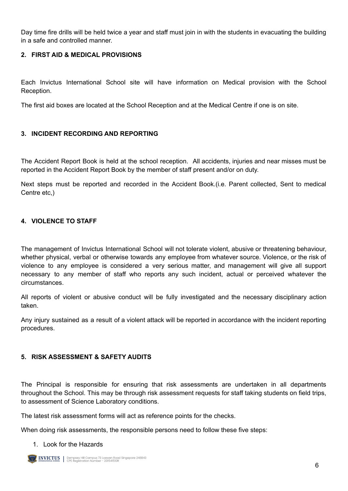Day time fire drills will be held twice a year and staff must join in with the students in evacuating the building in a safe and controlled manner.

## **2. FIRST AID & MEDICAL PROVISIONS**

Each Invictus International School site will have information on Medical provision with the School Reception.

The first aid boxes are located at the School Reception and at the Medical Centre if one is on site.

### **3. INCIDENT RECORDING AND REPORTING**

The Accident Report Book is held at the school reception. All accidents, injuries and near misses must be reported in the Accident Report Book by the member of staff present and/or on duty.

Next steps must be reported and recorded in the Accident Book.(i.e. Parent collected, Sent to medical Centre etc,)

### **4. VIOLENCE TO STAFF**

The management of Invictus International School will not tolerate violent, abusive or threatening behaviour, whether physical, verbal or otherwise towards any employee from whatever source. Violence, or the risk of violence to any employee is considered a very serious matter, and management will give all support necessary to any member of staff who reports any such incident, actual or perceived whatever the circumstances.

All reports of violent or abusive conduct will be fully investigated and the necessary disciplinary action taken.

Any injury sustained as a result of a violent attack will be reported in accordance with the incident reporting procedures.

#### **5. RISK ASSESSMENT & SAFETY AUDITS**

The Principal is responsible for ensuring that risk assessments are undertaken in all departments throughout the School. This may be through risk assessment requests for staff taking students on field trips, to assessment of Science Laboratory conditions.

The latest risk assessment forms will act as reference points for the checks.

When doing risk assessments, the responsible persons need to follow these five steps:

#### 1. Look for the Hazards

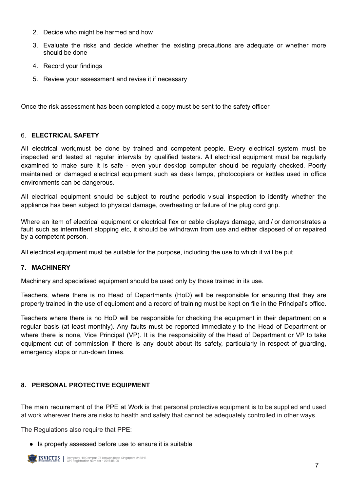- 2. Decide who might be harmed and how
- 3. Evaluate the risks and decide whether the existing precautions are adequate or whether more should be done
- 4. Record your findings
- 5. Review your assessment and revise it if necessary

Once the risk assessment has been completed a copy must be sent to the safety officer.

#### 6. **ELECTRICAL SAFETY**

All electrical work,must be done by trained and competent people. Every electrical system must be inspected and tested at regular intervals by qualified testers. All electrical equipment must be regularly examined to make sure it is safe - even your desktop computer should be regularly checked. Poorly maintained or damaged electrical equipment such as desk lamps, photocopiers or kettles used in office environments can be dangerous.

All electrical equipment should be subject to routine periodic visual inspection to identify whether the appliance has been subject to physical damage, overheating or failure of the plug cord grip.

Where an item of electrical equipment or electrical flex or cable displays damage, and / or demonstrates a fault such as intermittent stopping etc, it should be withdrawn from use and either disposed of or repaired by a competent person.

All electrical equipment must be suitable for the purpose, including the use to which it will be put.

### **7. MACHINERY**

Machinery and specialised equipment should be used only by those trained in its use.

Teachers, where there is no Head of Departments (HoD) will be responsible for ensuring that they are properly trained in the use of equipment and a record of training must be kept on file in the Principal's office.

Teachers where there is no HoD will be responsible for checking the equipment in their department on a regular basis (at least monthly). Any faults must be reported immediately to the Head of Department or where there is none, Vice Principal (VP). It is the responsibility of the Head of Department or VP to take equipment out of commission if there is any doubt about its safety, particularly in respect of guarding, emergency stops or run-down times.

### **8. PERSONAL PROTECTIVE EQUIPMENT**

The main requirement of the PPE at Work is that personal protective equipment is to be supplied and used at work wherever there are risks to health and safety that cannot be adequately controlled in other ways.

The Regulations also require that PPE:

● Is properly assessed before use to ensure it is suitable

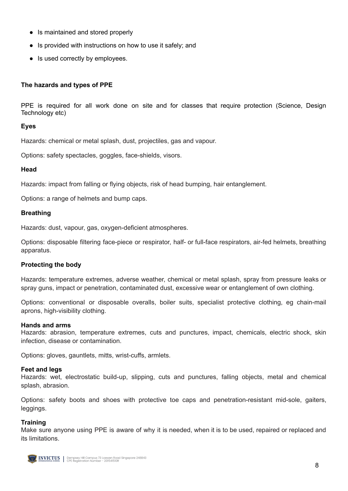- Is maintained and stored properly
- Is provided with instructions on how to use it safely; and
- Is used correctly by employees.

#### **The hazards and types of PPE**

PPE is required for all work done on site and for classes that require protection (Science, Design Technology etc)

#### **Eyes**

Hazards: chemical or metal splash, dust, projectiles, gas and vapour.

Options: safety spectacles, goggles, face-shields, visors.

#### **Head**

Hazards: impact from falling or flying objects, risk of head bumping, hair entanglement.

Options: a range of helmets and bump caps.

#### **Breathing**

Hazards: dust, vapour, gas, oxygen-deficient atmospheres.

Options: disposable filtering face-piece or respirator, half- or full-face respirators, air-fed helmets, breathing apparatus.

#### **Protecting the body**

Hazards: temperature extremes, adverse weather, chemical or metal splash, spray from pressure leaks or spray guns, impact or penetration, contaminated dust, excessive wear or entanglement of own clothing.

Options: conventional or disposable overalls, boiler suits, specialist protective clothing, eg chain-mail aprons, high-visibility clothing.

#### **Hands and arms**

Hazards: abrasion, temperature extremes, cuts and punctures, impact, chemicals, electric shock, skin infection, disease or contamination.

Options: gloves, gauntlets, mitts, wrist-cuffs, armlets.

#### **Feet and legs**

Hazards: wet, electrostatic build-up, slipping, cuts and punctures, falling objects, metal and chemical splash, abrasion.

Options: safety boots and shoes with protective toe caps and penetration-resistant mid-sole, gaiters, leggings.

#### **Training**

Make sure anyone using PPE is aware of why it is needed, when it is to be used, repaired or replaced and its limitations.

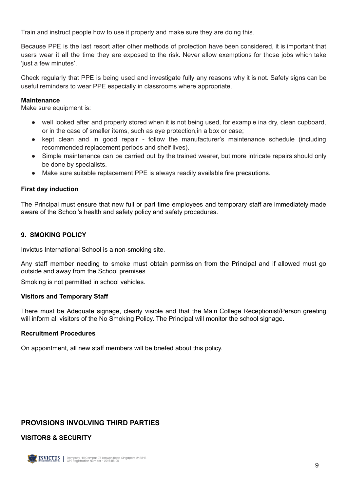Train and instruct people how to use it properly and make sure they are doing this.

Because PPE is the last resort after other methods of protection have been considered, it is important that users wear it all the time they are exposed to the risk. Never allow exemptions for those jobs which take 'just a few minutes'.

Check regularly that PPE is being used and investigate fully any reasons why it is not. Safety signs can be useful reminders to wear PPE especially in classrooms where appropriate.

#### **Maintenance**

Make sure equipment is:

- well looked after and properly stored when it is not being used, for example ina dry, clean cupboard, or in the case of smaller items, such as eye protection,in a box or case;
- kept clean and in good repair follow the manufacturer's maintenance schedule (including recommended replacement periods and shelf lives).
- Simple maintenance can be carried out by the trained wearer, but more intricate repairs should only be done by specialists.
- Make sure suitable replacement PPE is always readily available fire precautions.

#### **First day induction**

The Principal must ensure that new full or part time employees and temporary staff are immediately made aware of the School's health and safety policy and safety procedures.

#### **9. SMOKING POLICY**

Invictus International School is a non-smoking site.

Any staff member needing to smoke must obtain permission from the Principal and if allowed must go outside and away from the School premises.

Smoking is not permitted in school vehicles.

#### **Visitors and Temporary Staff**

There must be Adequate signage, clearly visible and that the Main College Receptionist/Person greeting will inform all visitors of the No Smoking Policy. The Principal will monitor the school signage.

#### **Recruitment Procedures**

On appointment, all new staff members will be briefed about this policy.

## **PROVISIONS INVOLVING THIRD PARTIES**

#### **VISITORS & SECURITY**

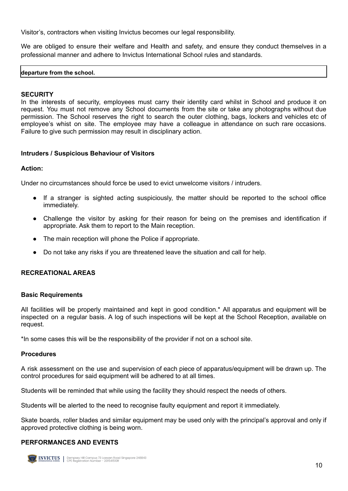Visitor's, contractors when visiting Invictus becomes our legal responsibility.

We are obliged to ensure their welfare and Health and safety, and ensure they conduct themselves in a professional manner and adhere to Invictus International School rules and standards.

#### **departure from the school.**

#### **SECURITY**

In the interests of security, employees must carry their identity card whilst in School and produce it on request. You must not remove any School documents from the site or take any photographs without due permission. The School reserves the right to search the outer clothing, bags, lockers and vehicles etc of employee's whist on site. The employee may have a colleague in attendance on such rare occasions. Failure to give such permission may result in disciplinary action.

#### **Intruders / Suspicious Behaviour of Visitors**

#### **Action:**

Under no circumstances should force be used to evict unwelcome visitors / intruders.

- If a stranger is sighted acting suspiciously, the matter should be reported to the school office immediately.
- Challenge the visitor by asking for their reason for being on the premises and identification if appropriate. Ask them to report to the Main reception.
- The main reception will phone the Police if appropriate.
- Do not take any risks if you are threatened leave the situation and call for help.

#### **RECREATIONAL AREAS**

#### **Basic Requirements**

All facilities will be properly maintained and kept in good condition.\* All apparatus and equipment will be inspected on a regular basis. A log of such inspections will be kept at the School Reception, available on request.

\*In some cases this will be the responsibility of the provider if not on a school site.

#### **Procedures**

A risk assessment on the use and supervision of each piece of apparatus/equipment will be drawn up. The control procedures for said equipment will be adhered to at all times.

Students will be reminded that while using the facility they should respect the needs of others.

Students will be alerted to the need to recognise faulty equipment and report it immediately.

Skate boards, roller blades and similar equipment may be used only with the principal's approval and only if approved protective clothing is being worn.

#### **PERFORMANCES AND EVENTS**

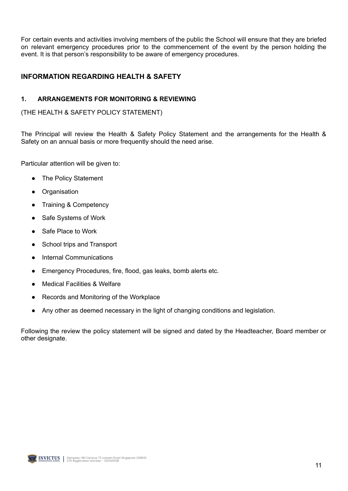For certain events and activities involving members of the public the School will ensure that they are briefed on relevant emergency procedures prior to the commencement of the event by the person holding the event. It is that person's responsibility to be aware of emergency procedures.

## **INFORMATION REGARDING HEALTH & SAFETY**

#### **1. ARRANGEMENTS FOR MONITORING & REVIEWING**

(THE HEALTH & SAFETY POLICY STATEMENT)

The Principal will review the Health & Safety Policy Statement and the arrangements for the Health & Safety on an annual basis or more frequently should the need arise.

Particular attention will be given to:

- **The Policy Statement**
- **Organisation**
- **Training & Competency**
- Safe Systems of Work
- Safe Place to Work
- School trips and Transport
- **Internal Communications**
- Emergency Procedures, fire, flood, gas leaks, bomb alerts etc.
- **Medical Facilities & Welfare**
- Records and Monitoring of the Workplace
- Any other as deemed necessary in the light of changing conditions and legislation.

Following the review the policy statement will be signed and dated by the Headteacher, Board member or other designate.

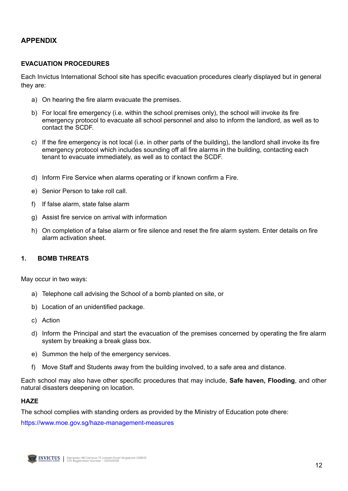## **APPENDIX**

#### **EVACUATION PROCEDURES**

Each Invictus International School site has specific evacuation procedures clearly displayed but in general they are:

- a) On hearing the fire alarm evacuate the premises.
- b) For local fire emergency (i.e. within the school premises only), the school will invoke its fire emergency protocol to evacuate all school personnel and also to inform the landlord, as well as to contact the SCDF.
- c) If the fire emergency is not local (i.e. in other parts of the building), the landlord shall invoke its fire emergency protocol which includes sounding off all fire alarms in the building, contacting each tenant to evacuate immediately, as well as to contact the SCDF.
- d) Inform Fire Service when alarms operating or if known confirm a Fire.
- e) Senior Person to take roll call.
- f) If false alarm, state false alarm
- g) Assist fire service on arrival with information
- h) On completion of a false alarm or fire silence and reset the fire alarm system. Enter details on fire alarm activation sheet.

#### **1. BOMB THREATS**

May occur in two ways:

- a) Telephone call advising the School of a bomb planted on site, or
- b) Location of an unidentified package.
- c) Action
- d) Inform the Principal and start the evacuation of the premises concerned by operating the fire alarm system by breaking a break glass box.
- e) Summon the help of the emergency services.
- f) Move Staff and Students away from the building involved, to a safe area and distance.

Each school may also have other specific procedures that may include, **Safe haven, Flooding**, and other natural disasters deepening on location.

#### **HAZE**

The school complies with standing orders as provided by the Ministry of Education pote dhere:

<https://www.moe.gov.sg/haze-management-measures>

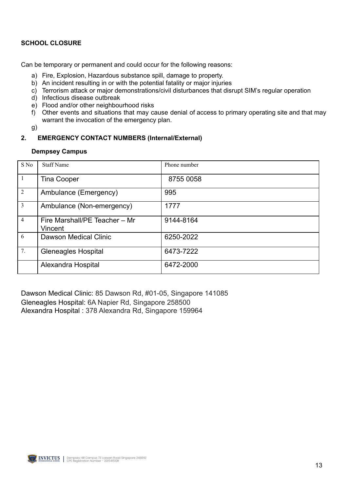### **SCHOOL CLOSURE**

Can be temporary or permanent and could occur for the following reasons:

- a) Fire, Explosion, Hazardous substance spill, damage to property.
- b) An incident resulting in or with the potential fatality or major injuries
- c) Terrorism attack or major demonstrations/civil disturbances that disrupt SIM's regular operation
- d) Infectious disease outbreak
- e) Flood and/or other neighbourhood risks
- f) Other events and situations that may cause denial of access to primary operating site and that may warrant the invocation of the emergency plan.
- g)

## **2. EMERGENCY CONTACT NUMBERS (Internal/External)**

#### **Dempsey Campus**

| S No           | <b>Staff Name</b>                        | Phone number |
|----------------|------------------------------------------|--------------|
| $\overline{1}$ | <b>Tina Cooper</b>                       | 8755 0058    |
| $\overline{2}$ | Ambulance (Emergency)                    | 995          |
| $\overline{3}$ | Ambulance (Non-emergency)                | 1777         |
| $\overline{4}$ | Fire Marshall/PE Teacher - Mr<br>Vincent | 9144-8164    |
| 6              | Dawson Medical Clinic                    | 6250-2022    |
| 7.             | <b>Gleneagles Hospital</b>               | 6473-7222    |
|                | Alexandra Hospital                       | 6472-2000    |

Dawson Medical Clinic: 85 Dawson Rd, #01-05, Singapore 141085 Gleneagles Hospital: 6A Napier Rd, Singapore 258500 Alexandra Hospital : 378 Alexandra Rd, Singapore 159964

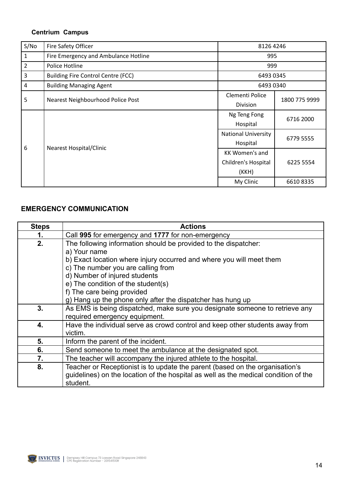## **Centrium Campus**

| S/No | Fire Safety Officer                       | 8126 4246                  |               |
|------|-------------------------------------------|----------------------------|---------------|
| 1    | Fire Emergency and Ambulance Hotline      | 995                        |               |
| 2    | Police Hotline                            | 999                        |               |
| 3    | <b>Building Fire Control Centre (FCC)</b> | 6493 0345                  |               |
| 4    | <b>Building Managing Agent</b>            | 6493 0340                  |               |
| 5    | Nearest Neighbourhood Police Post         | Clementi Police            | 1800 775 9999 |
|      |                                           | Division                   |               |
| 6    | Nearest Hospital/Clinic                   | Ng Teng Fong               | 6716 2000     |
|      |                                           | Hospital                   |               |
|      |                                           | <b>National University</b> | 6779 5555     |
|      |                                           | Hospital                   |               |
|      |                                           | KK Women's and             |               |
|      |                                           | Children's Hospital        | 6225 5554     |
|      |                                           | (KKH)                      |               |
|      |                                           | My Clinic                  | 66108335      |

# **EMERGENCY COMMUNICATION**

| <b>Steps</b> | <b>Actions</b>                                                                      |  |
|--------------|-------------------------------------------------------------------------------------|--|
| 1.           | Call 995 for emergency and 1777 for non-emergency                                   |  |
| 2.           | The following information should be provided to the dispatcher:                     |  |
|              | a) Your name                                                                        |  |
|              | b) Exact location where injury occurred and where you will meet them                |  |
|              | c) The number you are calling from                                                  |  |
|              | d) Number of injured students                                                       |  |
|              | e) The condition of the student(s)                                                  |  |
|              | f) The care being provided                                                          |  |
|              | g) Hang up the phone only after the dispatcher has hung up                          |  |
| 3.           | As EMS is being dispatched, make sure you designate someone to retrieve any         |  |
|              | required emergency equipment.                                                       |  |
| 4.           | Have the individual serve as crowd control and keep other students away from        |  |
|              | victim.                                                                             |  |
| 5.           | Inform the parent of the incident.                                                  |  |
| 6.           | Send someone to meet the ambulance at the designated spot.                          |  |
| 7.           | The teacher will accompany the injured athlete to the hospital.                     |  |
| 8.           | Teacher or Receptionist is to update the parent (based on the organisation's        |  |
|              | guidelines) on the location of the hospital as well as the medical condition of the |  |
|              | student.                                                                            |  |

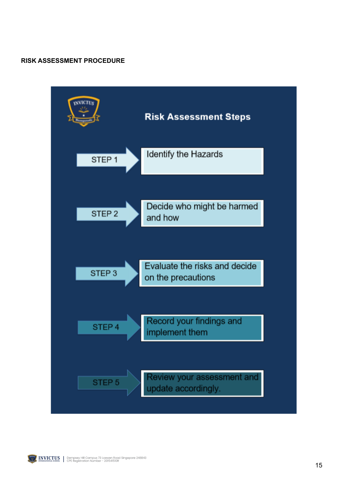#### **RISK ASSESSMENT PROCEDURE**